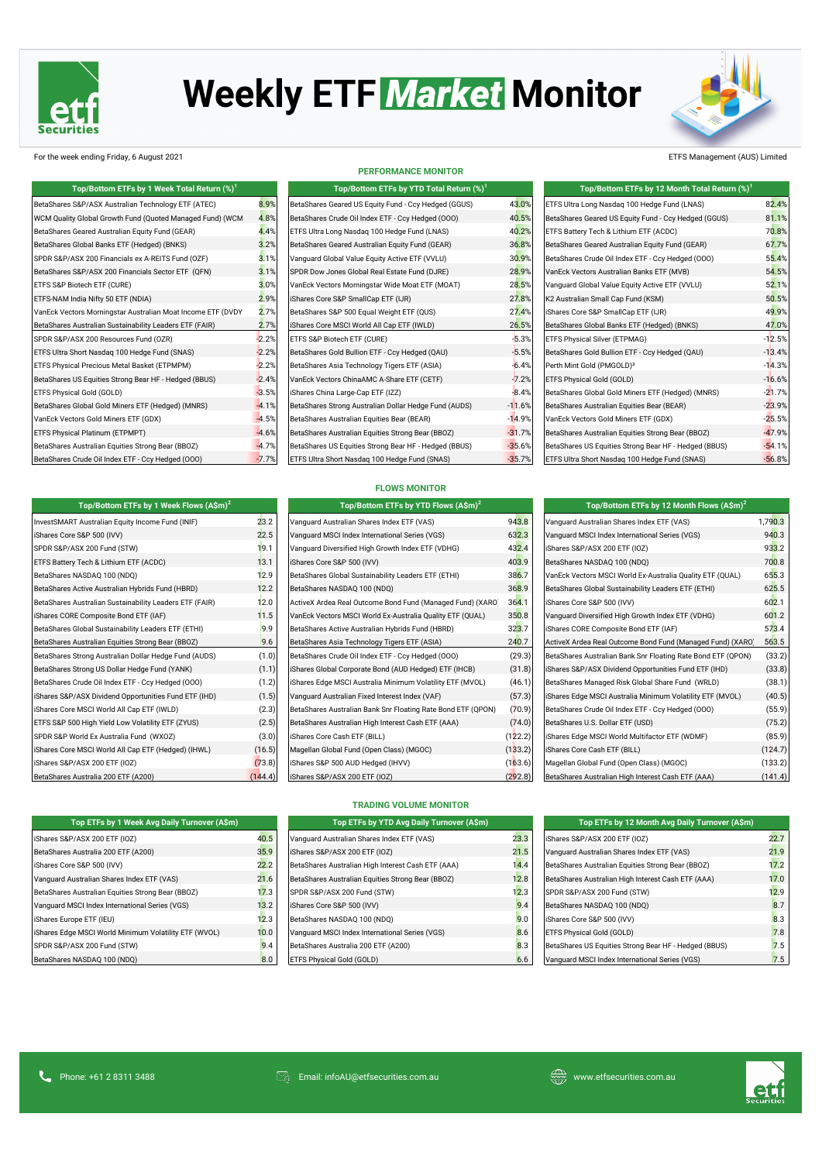

# Weekly ETF Market Monitor

For the week ending Friday, 6 August 2021 **ETFS Management (AUS)** Limited

| Top/Bottom ETFs by 1 Week Total Return (%)                  |         | Top/Bottom ETFs by YTD Total Return (%)               | Top/Bottom ETFs by 12 Month Total Return (%) |                                                       |          |
|-------------------------------------------------------------|---------|-------------------------------------------------------|----------------------------------------------|-------------------------------------------------------|----------|
| BetaShares S&P/ASX Australian Technology ETF (ATEC)         | 8.9%    | BetaShares Geared US Equity Fund - Ccy Hedged (GGUS)  | 43.0%                                        | ETFS Ultra Long Nasdaq 100 Hedge Fund (LNAS)          | 82.4%    |
| WCM Quality Global Growth Fund (Quoted Managed Fund) (WCM   | 4.8%    | BetaShares Crude Oil Index ETF - Ccy Hedged (OOO)     | 40.5%                                        | BetaShares Geared US Equity Fund - Ccy Hedged (GGUS)  | 81.1%    |
| BetaShares Geared Australian Equity Fund (GEAR)             | 4.4%    | ETFS Ultra Long Nasdaq 100 Hedge Fund (LNAS)          | 40.2%                                        | <b>ETFS Battery Tech &amp; Lithium ETF (ACDC)</b>     | 70.8%    |
| BetaShares Global Banks ETF (Hedged) (BNKS)                 | 3.2%    | BetaShares Geared Australian Equity Fund (GEAR)       | 36.8%                                        | BetaShares Geared Australian Equity Fund (GEAR)       | 67.7%    |
| SPDR S&P/ASX 200 Financials ex A-REITS Fund (OZF)           | 3.1%    | Vanguard Global Value Equity Active ETF (VVLU)        | 30.9%                                        | BetaShares Crude Oil Index ETF - Ccy Hedged (000)     | 55.4%    |
| BetaShares S&P/ASX 200 Financials Sector ETF (QFN)          | 3.1%    | SPDR Dow Jones Global Real Estate Fund (DJRE)         | 28.9%                                        | VanEck Vectors Australian Banks ETF (MVB)             | 54.5%    |
| ETFS S&P Biotech ETF (CURE)                                 | 3.0%    | VanEck Vectors Morningstar Wide Moat ETF (MOAT)       | 28.5%                                        | Vanguard Global Value Equity Active ETF (VVLU)        | 52.1%    |
| ETFS-NAM India Nifty 50 ETF (NDIA)                          | 2.9%    | iShares Core S&P SmallCap ETF (IJR)                   | 27.8%                                        | K2 Australian Small Cap Fund (KSM)                    | 50.5%    |
| VanEck Vectors Morningstar Australian Moat Income ETF (DVDY | 2.7%    | BetaShares S&P 500 Equal Weight ETF (QUS)             | 27.4%                                        | IShares Core S&P SmallCap ETF (IJR)                   | 49.9%    |
| BetaShares Australian Sustainability Leaders ETF (FAIR)     | 2.7%    | iShares Core MSCI World All Cap ETF (IWLD)            | 26.5%                                        | BetaShares Global Banks ETF (Hedged) (BNKS)           | 47.0%    |
| SPDR S&P/ASX 200 Resources Fund (OZR)                       | $-2.2%$ | <b>ETFS S&amp;P Biotech ETF (CURE)</b>                | $-5.3%$                                      | <b>ETFS Physical Silver (ETPMAG)</b>                  | $-12.5%$ |
| ETFS Ultra Short Nasdaq 100 Hedge Fund (SNAS)               | $-2.2%$ | BetaShares Gold Bullion ETF - Ccy Hedged (QAU)        | $-5.5%$                                      | BetaShares Gold Bullion ETF - Ccy Hedged (QAU)        | $-13.4%$ |
| <b>ETFS Physical Precious Metal Basket (ETPMPM)</b>         | $-2.2%$ | BetaShares Asia Technology Tigers ETF (ASIA)          | $-6.4%$                                      | Perth Mint Gold (PMGOLD) <sup>3</sup>                 | $-14.3%$ |
| BetaShares US Equities Strong Bear HF - Hedged (BBUS)       | $-2.4%$ | VanEck Vectors ChinaAMC A-Share ETF (CETF)            | $-7.2%$                                      | <b>ETFS Physical Gold (GOLD)</b>                      | $-16.6%$ |
| <b>ETFS Physical Gold (GOLD)</b>                            | $-3.5%$ | iShares China Large-Cap ETF (IZZ)                     | $-8.4%$                                      | BetaShares Global Gold Miners ETF (Hedged) (MNRS)     | $-21.7%$ |
| BetaShares Global Gold Miners ETF (Hedged) (MNRS)           | $-4.1%$ | BetaShares Strong Australian Dollar Hedge Fund (AUDS) | $-11.6%$                                     | BetaShares Australian Equities Bear (BEAR)            | $-23.9%$ |
| VanEck Vectors Gold Miners ETF (GDX)                        | $-4.5%$ | BetaShares Australian Equities Bear (BEAR)            | 14.9%                                        | VanEck Vectors Gold Miners ETF (GDX)                  | $-25.5%$ |
| <b>ETFS Physical Platinum (ETPMPT)</b>                      | $-4.6%$ | BetaShares Australian Equities Strong Bear (BBOZ)     | $-31.7%$                                     | BetaShares Australian Equities Strong Bear (BBOZ)     | $-47.9%$ |
| BetaShares Australian Equities Strong Bear (BBOZ)           | $-4.7%$ | BetaShares US Equities Strong Bear HF - Hedged (BBUS) | 35.6%                                        | BetaShares US Equities Strong Bear HF - Hedged (BBUS) | $-54.1%$ |
| BetaShares Crude Oil Index ETF - Ccy Hedged (OOO)           | $-7.7%$ | ETFS Ultra Short Nasdaq 100 Hedge Fund (SNAS)         | $-35.7%$                                     | ETFS Ultra Short Nasdaq 100 Hedge Fund (SNAS)         | $-56.8%$ |

| Top/Bottom ETFs by 1 Week Flows $(A\sin^2)$             |       | Top/Bottom ETFs by YTD Flows $(A\sin)^2$                   |        | Top/Bottom ETFs by 12 Month Flows $(A\sin)^2$                                                                         |            |
|---------------------------------------------------------|-------|------------------------------------------------------------|--------|-----------------------------------------------------------------------------------------------------------------------|------------|
| InvestSMART Australian Equity Income Fund (INIF)        | 23.2  | Vanguard Australian Shares Index ETF (VAS)                 | 943.8  | Vanguard Australian Shares Index ETF (VAS)                                                                            | 1,790.3    |
| iShares Core S&P 500 (IVV)                              | 22.5  | Vanguard MSCI Index International Series (VGS)             | 632.3  | Vanguard MSCI Index International Series (VGS)                                                                        | 940.3      |
| SPDR S&P/ASX 200 Fund (STW)                             | 19.1  | Vanguard Diversified High Growth Index ETF (VDHG)          | 432.4  | iShares S&P/ASX 200 ETF (IOZ)                                                                                         | 933.2      |
| ETFS Battery Tech & Lithium ETF (ACDC)                  | 13.1  | iShares Core S&P 500 (IVV)                                 | 403.9  | BetaShares NASDAQ 100 (NDQ)                                                                                           | 700.8      |
| BetaShares NASDAQ 100 (NDQ)                             | 12.9  | BetaShares Global Sustainability Leaders ETF (ETHI)        | 386.7  | VanEck Vectors MSCI World Ex-Australia Quality ETF (QUAL)                                                             | 655.3      |
| BetaShares Active Australian Hybrids Fund (HBRD)        | 12.2  | BetaShares NASDAQ 100 (NDQ)                                | 368.9  | BetaShares Global Sustainability Leaders ETF (ETHI)                                                                   | 625.5      |
| BetaShares Australian Sustainability Leaders ETF (FAIR) | 12.0  | ActiveX Ardea Real Outcome Bond Fund (Managed Fund) (XARO) | 364.1  | iShares Core S&P 500 (IVV)                                                                                            | 602.1      |
| iShares CORE Composite Bond ETF (IAF)                   | 11.5  | VanEck Vectors MSCI World Ex-Australia Quality ETF (QUAL)  | 350.8  | Vanguard Diversified High Growth Index ETF (VDHG)                                                                     | 601.2      |
| BetaShares Global Sustainability Leaders ETF (ETHI)     | 9.9   | BetaShares Active Australian Hybrids Fund (HBRD)           | 323.7  | iShares CORE Composite Bond ETF (IAF)                                                                                 | 573.4      |
| BetaShares Australian Equities Strong Bear (BBOZ)       | 9.6   | BetaShares Asia Technology Tigers ETF (ASIA)               | 240.7  | ActiveX Ardea Real Outcome Bond Fund (Managed Fund) (XARO)                                                            | 563.5      |
| BetaShares Strong Australian Dollar Hedge Fund (AUDS)   | (1.0) | BetaShares Crude Oil Index ETF - Ccy Hedged (000)          | (29.3) | BetaShares Australian Bank Snr Floating Rate Bond ETF (QPON)                                                          | (33.2)     |
| BetaShares Strong US Dollar Hedge Fund (YANK)           | (1.1) | iShares Global Corporate Bond (AUD Hedged) ETF (IHCB)      | (31.8) | iShares S&P/ASX Dividend Opportunities Fund ETF (IHD)                                                                 | (33.8)     |
| BetaShares Crude Oil Index ETF - Ccy Hedged (OOO)       | (1.2) | iShares Edge MSCI Australia Minimum Volatility ETF (MVOL)  | (46.1) | BetaShares Managed Risk Global Share Fund (WRLD)                                                                      | (38.1)     |
| iShares S&P/ASX Dividend Opportunities Fund ETF (IHD)   | (1.5) | Vanguard Australian Fixed Interest Index (VAF)             | (57.3) | iShares Edge MSCI Australia Minimum Volatility ETF (MVOL)                                                             | (40.5)     |
| $\mathcal{L}$                                           | (0.2) |                                                            | (70.01 | $\mathsf{In} \cup \mathsf{OL} \cup \mathsf{O}$ is all in $\mathsf{CFL}$ and it is in $\mathsf{O}\mathsf{O}\mathsf{O}$ | $(FT \cap$ |



| ETFS S&P 500 High Yield Low Volatility ETF (ZYUS)   | (2.5)   | BetaShares Australian High Interest Cash ETF (AAA) | (74.0)  | BetaShares U.S. Dollar ETF (USD)                   | (75.2)  |
|-----------------------------------------------------|---------|----------------------------------------------------|---------|----------------------------------------------------|---------|
| SPDR S&P World Ex Australia Fund (WXOZ)             | (3.0)   | <b>IShares Core Cash ETF (BILL)</b>                | (122.2) | IShares Edge MSCI World Multifactor ETF (WDMF)     | (85.9)  |
| iShares Core MSCI World All Cap ETF (Hedged) (IHWL) | (16.5)  | Magellan Global Fund (Open Class) (MGOC)           | (133.2) | iShares Core Cash ETF (BILL)                       | (124.7) |
| IShares S&P/ASX 200 ETF (IOZ)                       | (73.8)  | IShares S&P 500 AUD Hedged (IHVV)                  | (163.6) | Magellan Global Fund (Open Class) (MGOC)           | (133.2) |
| BetaShares Australia 200 ETF (A200)                 | (144.4) | iShares S&P/ASX 200 ETF (IOZ)                      | (292.8) | BetaShares Australian High Interest Cash ETF (AAA) | (141.4) |

| .0) | BetaShares U.S. Dollar ETF (USD)                   | (75.2)  |
|-----|----------------------------------------------------|---------|
| (2) | iShares Edge MSCI World Multifactor ETF (WDMF)     | (85.9)  |
| (2) | iShares Core Cash ETF (BILL)                       | (124.7) |
| (6) | Magellan Global Fund (Open Class) (MGOC)           | (133.2) |
| (8) | BetaShares Australian High Interest Cash ETF (AAA) | (141.4) |

| Top/Bottom ETFs by 1 Week Flows (A\$m) <sup>2</sup>                                                                                                                                                                            |               | Top/Bottom ETFs by YTD Flows $(A\sin)^2$                                                                                                                                                                                                                                                                     |                       |
|--------------------------------------------------------------------------------------------------------------------------------------------------------------------------------------------------------------------------------|---------------|--------------------------------------------------------------------------------------------------------------------------------------------------------------------------------------------------------------------------------------------------------------------------------------------------------------|-----------------------|
| InvestSMART Australian Equity Income Fund (INIF)                                                                                                                                                                               | 23.2          | Vanguard Australian Shares Index ETF (VAS)                                                                                                                                                                                                                                                                   | 943.8                 |
| iShares Core S&P 500 (IVV)                                                                                                                                                                                                     | 22.5          | Vanguard MSCI Index International Series (VGS)                                                                                                                                                                                                                                                               | 632.3                 |
| SPDR S&P/ASX 200 Fund (STW)                                                                                                                                                                                                    | 19.1          | Vanguard Diversified High Growth Index ETF (VDHG)                                                                                                                                                                                                                                                            | 432.4                 |
| <b>ETFS Battery Tech &amp; Lithium ETF (ACDC)</b>                                                                                                                                                                              | 13.1          | iShares Core S&P 500 (IVV)                                                                                                                                                                                                                                                                                   | 403.9                 |
| BetaShares NASDAQ 100 (NDQ)                                                                                                                                                                                                    | 12.9          | BetaShares Global Sustainability Leaders ETF (ETHI)                                                                                                                                                                                                                                                          | 386.7                 |
| BetaShares Active Australian Hybrids Fund (HBRD)                                                                                                                                                                               | 12.2          | BetaShares NASDAQ 100 (NDQ)                                                                                                                                                                                                                                                                                  | 368.9                 |
| BetaShares Australian Sustainability Leaders ETF (FAIR)                                                                                                                                                                        | 12.0          | ActiveX Ardea Real Outcome Bond Fund (Managed Fund) (XARO                                                                                                                                                                                                                                                    | 364.1                 |
| IShares CORE Composite Bond ETF (IAF)                                                                                                                                                                                          | 11.5          | VanEck Vectors MSCI World Ex-Australia Quality ETF (QUAL)                                                                                                                                                                                                                                                    | 350.8                 |
| BetaShares Global Sustainability Leaders ETF (ETHI)                                                                                                                                                                            | 9.9           | BetaShares Active Australian Hybrids Fund (HBRD)                                                                                                                                                                                                                                                             | 323.7                 |
| BetaShares Australian Equities Strong Bear (BBOZ)                                                                                                                                                                              | 9.6           | BetaShares Asia Technology Tigers ETF (ASIA)                                                                                                                                                                                                                                                                 | 240.7                 |
| BetaShares Strong Australian Dollar Hedge Fund (AUDS)                                                                                                                                                                          | (1.0)         | BetaShares Crude Oil Index ETF - Ccy Hedged (000)                                                                                                                                                                                                                                                            | (29.3)                |
| BetaShares Strong US Dollar Hedge Fund (YANK)                                                                                                                                                                                  | (1.1)         | iShares Global Corporate Bond (AUD Hedged) ETF (IHCB)                                                                                                                                                                                                                                                        | (31.8)                |
| BetaShares Crude Oil Index ETF - Ccy Hedged (000)                                                                                                                                                                              | (1.2)         | iShares Edge MSCI Australia Minimum Volatility ETF (MVOL)                                                                                                                                                                                                                                                    | (46.1)                |
| iShares S&P/ASX Dividend Opportunities Fund ETF (IHD)                                                                                                                                                                          | (1.5)         | Vanguard Australian Fixed Interest Index (VAF)                                                                                                                                                                                                                                                               | (57.3)                |
| IShares Core MSCI World All Cap ETF (IWLD)                                                                                                                                                                                     | (2.3)         | BetaShares Australian Bank Snr Floating Rate Bond ETF (QPON)                                                                                                                                                                                                                                                 | (70.9)                |
| $F + F$ and $F$ and $F$ is $F$ is $F$ is $F$ is $F$ is $F$ is $F$ if $F$ is $F$ is $F$ is $F$ is $F$ is $F$ is $F$ is $F$ is $F$ is $F$ is $F$ is $F$ is $F$ is $F$ is $F$ is $F$ is $F$ is $F$ is $F$ is $F$ is $F$ is $F$ is | $\sim$ $\sim$ | $\mathbb{R}$ . Of $\mathbb{R}$ , $\mathbb{R}$ , $\mathbb{R}$ , $\mathbb{R}$ , $\mathbb{R}$ , $\mathbb{R}$ , $\mathbb{R}$ , $\mathbb{R}$ , $\mathbb{R}$ , $\mathbb{R}$ , $\mathbb{R}$ , $\mathbb{R}$ , $\mathbb{R}$ , $\mathbb{R}$ , $\mathbb{R}$ , $\mathbb{R}$ , $\mathbb{R}$ , $\mathbb{R}$ , $\mathbb{R}$ | $\sqrt{2}$ $\sqrt{2}$ |

| Top ETFs by 1 Week Avg Daily Turnover (A\$m)          |      | Top ETFs by YTD Avg Daily Turnover (A\$m)          |      | Top ETFs by 12 Month Avg Daily Turnover (A\$m)        |      |  |
|-------------------------------------------------------|------|----------------------------------------------------|------|-------------------------------------------------------|------|--|
| iShares S&P/ASX 200 ETF (IOZ)                         | 40.5 | Vanguard Australian Shares Index ETF (VAS)         | 23.3 | IShares S&P/ASX 200 ETF (IOZ)                         | 22.7 |  |
| BetaShares Australia 200 ETF (A200)                   | 35.9 | iShares S&P/ASX 200 ETF (IOZ)                      | 21.5 | Vanguard Australian Shares Index ETF (VAS)            | 21.9 |  |
| IShares Core S&P 500 (IVV)                            | 22.2 | BetaShares Australian High Interest Cash ETF (AAA) | 14.4 | BetaShares Australian Equities Strong Bear (BBOZ)     | 17.2 |  |
| Vanguard Australian Shares Index ETF (VAS)            | 21.6 | BetaShares Australian Equities Strong Bear (BBOZ)  | 12.8 | BetaShares Australian High Interest Cash ETF (AAA)    | 17.0 |  |
| BetaShares Australian Equities Strong Bear (BBOZ)     | 17.3 | SPDR S&P/ASX 200 Fund (STW)                        | 12.3 | SPDR S&P/ASX 200 Fund (STW)                           | 12.9 |  |
| Vanguard MSCI Index International Series (VGS)        | 13.2 | iShares Core S&P 500 (IVV)                         | 9.4  | BetaShares NASDAQ 100 (NDQ)                           | 8.7  |  |
| <b>iShares Europe ETF (IEU)</b>                       | 12.3 | BetaShares NASDAQ 100 (NDQ)                        | 9.0  | IShares Core S&P 500 (IVV)                            | 8.3  |  |
| iShares Edge MSCI World Minimum Volatility ETF (WVOL) | 10.0 | Vanguard MSCI Index International Series (VGS)     | 8.6  | <b>ETFS Physical Gold (GOLD)</b>                      | 7.8  |  |
| SPDR S&P/ASX 200 Fund (STW)                           | 9.4  | BetaShares Australia 200 ETF (A200)                | 8.3  | BetaShares US Equities Strong Bear HF - Hedged (BBUS) | 7.5  |  |
| BetaShares NASDAQ 100 (NDQ)                           | 8.0  | <b>ETFS Physical Gold (GOLD)</b>                   | 6.6  | Vanguard MSCI Index International Series (VGS)        | 7.5  |  |



Communications and Table 11 2 8311 3488 Communications and Email: infoAU@etfsecurities.com.au www.etfsecurities.com.au www.etfsecurities.com.au





### **Top/Bottom ETFs by 12 Month Total Return (%)<sup>1</sup>**

| ETFS Ultra Long Nasdaq 100 Hedge Fund (LNAS)          | 82.4%    |
|-------------------------------------------------------|----------|
| BetaShares Geared US Equity Fund - Ccy Hedged (GGUS)  | 81.1%    |
| ETFS Battery Tech & Lithium ETF (ACDC)                | 70.8%    |
| BetaShares Geared Australian Equity Fund (GEAR)       | 67.7%    |
| BetaShares Crude Oil Index ETF - Ccy Hedged (OOO)     | 55.4%    |
| VanEck Vectors Australian Banks ETF (MVB)             | 54.5%    |
| Vanguard Global Value Equity Active ETF (VVLU)        | 52.1%    |
| K2 Australian Small Cap Fund (KSM)                    | 50.5%    |
| iShares Core S&P SmallCap ETF (IJR)                   | 49.9%    |
| BetaShares Global Banks ETF (Hedged) (BNKS)           | 47.0%    |
| ETFS Physical Silver (ETPMAG)                         | $-12.5%$ |
| BetaShares Gold Bullion ETF - Ccy Hedged (QAU)        | $-13.4%$ |
| Perth Mint Gold (PMGOLD) <sup>3</sup>                 | $-14.3%$ |
| ETFS Physical Gold (GOLD)                             | $-16.6%$ |
| BetaShares Global Gold Miners ETF (Hedged) (MNRS)     | $-21.7%$ |
| BetaShares Australian Equities Bear (BEAR)            | $-23.9%$ |
| VanEck Vectors Gold Miners ETF (GDX)                  | $-25.5%$ |
| BetaShares Australian Equities Strong Bear (BBOZ)     | $-47.9%$ |
| BetaShares US Equities Strong Bear HF - Hedged (BBUS) | $-54.1%$ |
| ETFS Ultra Short Nasdaq 100 Hedge Fund (SNAS)         | $-56.8%$ |

| BetaShares Geared US Equity Fund - Ccy Hedged (GGUS)  | 43             |
|-------------------------------------------------------|----------------|
| BetaShares Crude Oil Index ETF - Ccy Hedged (OOO)     | 40             |
| ETFS Ultra Long Nasdaq 100 Hedge Fund (LNAS)          | 40             |
| BetaShares Geared Australian Equity Fund (GEAR)       | 36             |
| Vanguard Global Value Equity Active ETF (VVLU)        | 30             |
| SPDR Dow Jones Global Real Estate Fund (DJRE)         | 28             |
| VanEck Vectors Morningstar Wide Moat ETF (MOAT)       | 28             |
| iShares Core S&P SmallCap ETF (IJR)                   | 27             |
| BetaShares S&P 500 Equal Weight ETF (QUS)             | 27             |
| iShares Core MSCI World All Cap ETF (IWLD)            | 26             |
| ETFS S&P Biotech ETF (CURE)                           | $\overline{5}$ |
| BetaShares Gold Bullion ETF - Ccy Hedged (QAU)        | $\sqrt{5}$     |
| BetaShares Asia Technology Tigers ETF (ASIA)          | 6              |
| VanEck Vectors ChinaAMC A-Share ETF (CETF)            | -7             |
| iShares China Large-Cap ETF (IZZ)                     | $-8$           |
| BetaShares Strong Australian Dollar Hedge Fund (AUDS) | $-11$          |
| BetaShares Australian Equities Bear (BEAR)            | -14            |
| BetaShares Australian Equities Strong Bear (BBOZ)     | $-31$          |
| BetaShares US Equities Strong Bear HF - Hedged (BBUS) | $-35$          |
| ETFS Ultra Short Nasdaq 100 Hedge Fund (SNAS)         | $-35$          |

#### **PERFORMANCE MONITOR**

#### **TRADING VOLUME MONITOR**

#### **FLOWS MONITOR**

| Top/Bottom ETFs by 12 Month Flows $(A\sin)^2$                |         |
|--------------------------------------------------------------|---------|
| Vanguard Australian Shares Index ETF (VAS)                   | 1,790.3 |
| Vanguard MSCI Index International Series (VGS)               | 940.3   |
| iShares S&P/ASX 200 ETF (IOZ)                                | 933.2   |
| BetaShares NASDAQ 100 (NDQ)                                  | 700.8   |
| VanEck Vectors MSCI World Ex-Australia Quality ETF (QUAL)    | 655.3   |
| BetaShares Global Sustainability Leaders ETF (ETHI)          | 625.5   |
| iShares Core S&P 500 (IVV)                                   | 602.1   |
| Vanguard Diversified High Growth Index ETF (VDHG)            | 601.2   |
| iShares CORE Composite Bond ETF (IAF)                        | 573.4   |
| ActiveX Ardea Real Outcome Bond Fund (Managed Fund) (XARO    | 563.5   |
| BetaShares Australian Bank Snr Floating Rate Bond ETF (QPON) | (33.2)  |
| iShares S&P/ASX Dividend Opportunities Fund ETF (IHD)        | (33.8)  |
| BetaShares Managed Risk Global Share Fund (WRLD)             | (38.1)  |
| iShares Edge MSCI Australia Minimum Volatility ETF (MVOL)    | (40.5)  |
| BetaShares Crude Oil Index ETF - Ccy Hedged (OOO)            | (55.9)  |
|                                                              |         |